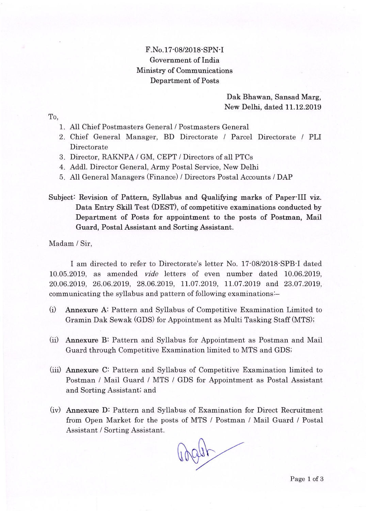## F. No. 17-08/2018 - SPN-I Government of India Ministry of Communications Department of Posts

## Dak Bhawan, Sansad Marg, New Delhi, dated 11.12.2019

To,

- A11 Chief Postmasters General / Postmasters General 1
- 2. Chief General Manager, BD Directorate / Parcel Directorate / PLI Directorate
- Director, RAKNPA / GM, CEPT / Directors of all PTCs 3
- 4. Addl. Director General, Army Postal Service, New Delhi
- A11 General Managers (Finance) / Directors Postal Accounts / DAP 5

## Subject: Revision of Pattern, Syllabus and Qualifying marks of Paper-III viz. Data Entry Skill Test (DEST), of competitive examinations conducted by Department of Posts for appointment to the posts of Postman, Mail Guard, Postal Assistant and Sorting Assistant.

Madam / Sir,

I am directed to refer to Directorate's letter No. 17.08/2018:SPB-I dated 10.05.2019, as amended vide letters of even number dated 10.06.2019, 20.06.2019, 26.06.2019, 28.06.2019, 11.07.2019, 11.07.20L9 and 23.07.2019, communicating the syllabus and pattern of following examinationsi-

- (il Annexure A: Pattern and Sytlabus of Competitive Examination Limited to Gramin Dak Sewak (GDS) for Appointment as Multi Tasking Staff (MTS);
- (ii) Annexure B: Pattern and Syllabus for Appointment as Postman and Mail Guard through Competitive Examination limited to MTS and GDS;
- (iiil Annexure Q: Pattern and Syllabus of Competitive Examination limited to Postman / Mail Guard / MTS / GDS for Appointment as Postal Assistant and Sorting Assistant; and
- (iv) Annexure D: Pattern and Syllabus of Examination for Direct Recruitment from Open Market for the posts of MTS / Postman / Mail Guard / Postal Assistant / Sorting Assistant.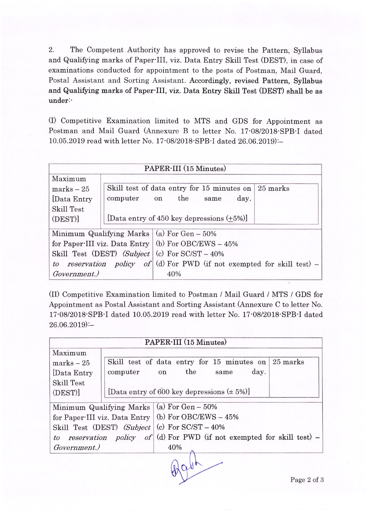2. The Competent Authority has approved to revise the Pattern, Syllabus and Qualifying marks of Paper III, viz. Data Entry Skill Test (DEST), in case of examinations conducted for appointment to the posts of Postman, Mail Guard, Postal Assistant and Sorting Assistant. Accordingly, revised Pattern, Syllabus and Qualifying marks of Paper-III, viz. Data Entry Skill Test (DEST) shall be as under:-

(I) Competitive Examination limited to MTS and GDS for Appointment as Postman and Mail Guard (Annexure B to letter No. 17:08/2018:SPB:I dated 10.05.2019 read with letter No. 17:08/2018-SPB-I dated 26.06.2019):

| PAPER-III (15 Minutes)                                                     |                                                                 |  |  |
|----------------------------------------------------------------------------|-----------------------------------------------------------------|--|--|
| Maximum                                                                    |                                                                 |  |  |
| $marks - 25$                                                               | Skill test of data entry for 15 minutes on<br>$\sqrt{25}$ marks |  |  |
| [Data Entry]                                                               | the<br>computer<br>day.<br>on<br>same                           |  |  |
| <b>Skill Test</b>                                                          |                                                                 |  |  |
| (DEST)]                                                                    | [Data entry of 450 key depressions $(+5%)$ ]                    |  |  |
| Minimum Qualifying Marks $\vert$ (a) For Gen – 50%                         |                                                                 |  |  |
| for Paper-III viz. Data Entry (b) For OBC/EWS - $45\%$                     |                                                                 |  |  |
| Skill Test (DEST) (Subject (c) For $SC/ST - 40\%$                          |                                                                 |  |  |
| reservation policy of (d) For PWD (if not exempted for skill test) –<br>to |                                                                 |  |  |
| Government.)                                                               | 40%                                                             |  |  |

(tt) Competitive Examination limited to Postman / Mail Guard / MTS / GDS for Appointment as Postal Assistant and Sorting Assistant (Annexure C to letter No. 17'0812018'SPB'I dated 10.05.2019 read with letter No. 17'0812018'SPB'I dated  $26.06.2019$ :-

| PAPER-III (15 Minutes)                                                                                                                                                                                                                       |                                                  |          |  |
|----------------------------------------------------------------------------------------------------------------------------------------------------------------------------------------------------------------------------------------------|--------------------------------------------------|----------|--|
| Maximum                                                                                                                                                                                                                                      |                                                  |          |  |
| $marks - 25$                                                                                                                                                                                                                                 | Skill test of data entry for 15 minutes on       | 25 marks |  |
| Data Entry                                                                                                                                                                                                                                   | the<br>day.<br>computer<br>on<br>same            |          |  |
| <b>Skill Test</b>                                                                                                                                                                                                                            |                                                  |          |  |
| (DEST)                                                                                                                                                                                                                                       | [Data entry of 600 key depressions $(\pm 5\%)$ ] |          |  |
| Minimum Qualifying Marks $\vert$ (a) For Gen - 50%<br>for Paper III viz. Data Entry   (b) For OBC/EWS - 45%<br>Skill Test (DEST) (Subject $ $ (c) For SC/ST – 40%<br>to reservation policy of (d) For PWD (if not exempted for skill test) – |                                                  |          |  |
| Government.)                                                                                                                                                                                                                                 | 40%                                              |          |  |
|                                                                                                                                                                                                                                              |                                                  |          |  |

 $\sqrt{94}$